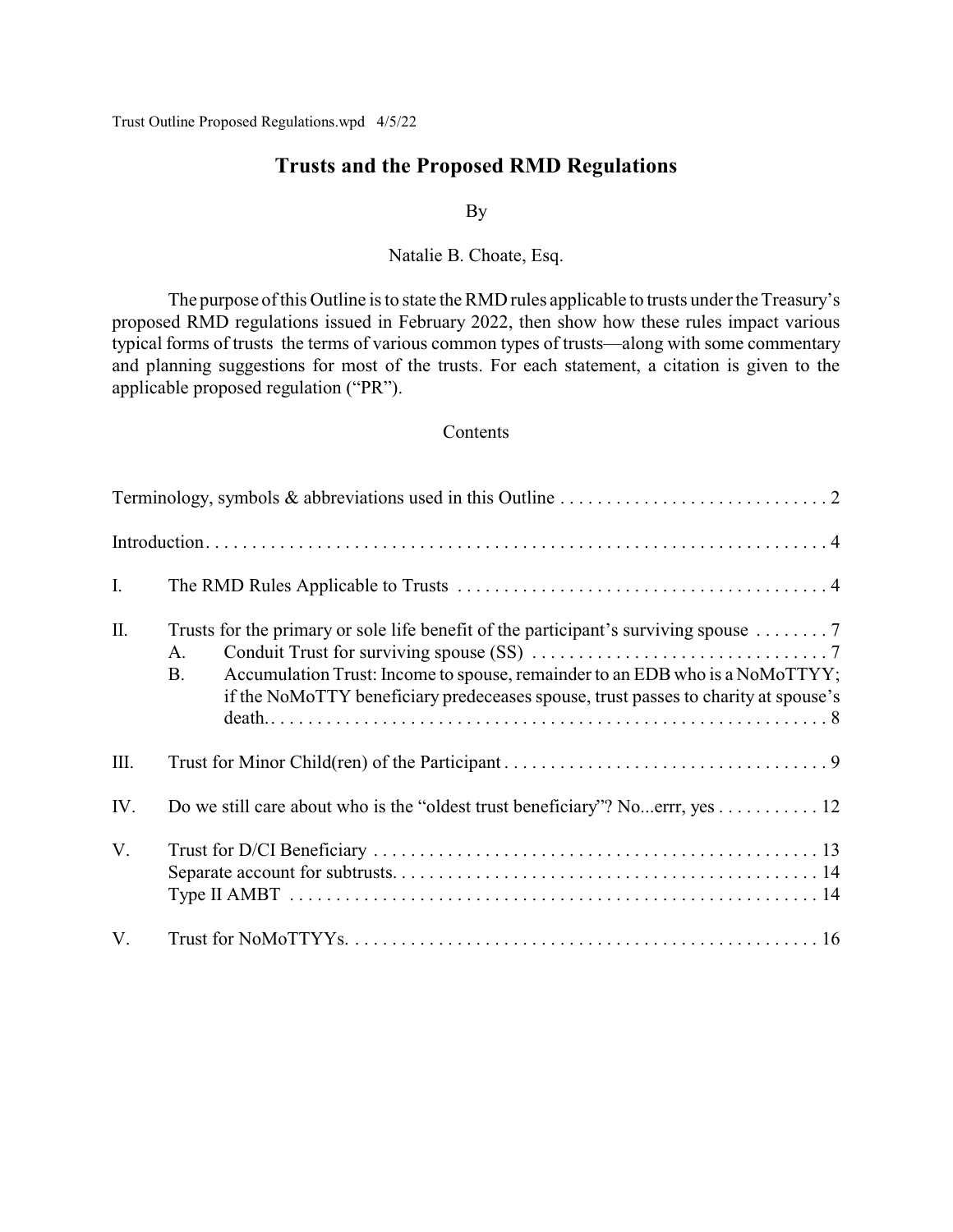Trust Outline Proposed Regulations.wpd 4/5/22

# **Trusts and the Proposed RMD Regulations**

### By

Natalie B. Choate, Esq.

The purpose of this Outline is to state the RMD rules applicable to trusts under the Treasury's proposed RMD regulations issued in February 2022, then show how these rules impact various typical forms of trusts the terms of various common types of trusts—along with some commentary and planning suggestions for most of the trusts. For each statement, a citation is given to the applicable proposed regulation ("PR").

## **Contents**

| I.  |                                                                                                                                                                                                                                                                                              |
|-----|----------------------------------------------------------------------------------------------------------------------------------------------------------------------------------------------------------------------------------------------------------------------------------------------|
| Π.  | Trusts for the primary or sole life benefit of the participant's surviving spouse $\dots \dots$ . 7<br>A.<br>Accumulation Trust: Income to spouse, remainder to an EDB who is a NoMoTTYY;<br><b>B.</b><br>if the NoMoTTY beneficiary predeceases spouse, trust passes to charity at spouse's |
| Ш.  |                                                                                                                                                                                                                                                                                              |
| IV. | Do we still care about who is the "oldest trust beneficiary"? Noerrr, yes 12                                                                                                                                                                                                                 |
| V.  |                                                                                                                                                                                                                                                                                              |
| V.  |                                                                                                                                                                                                                                                                                              |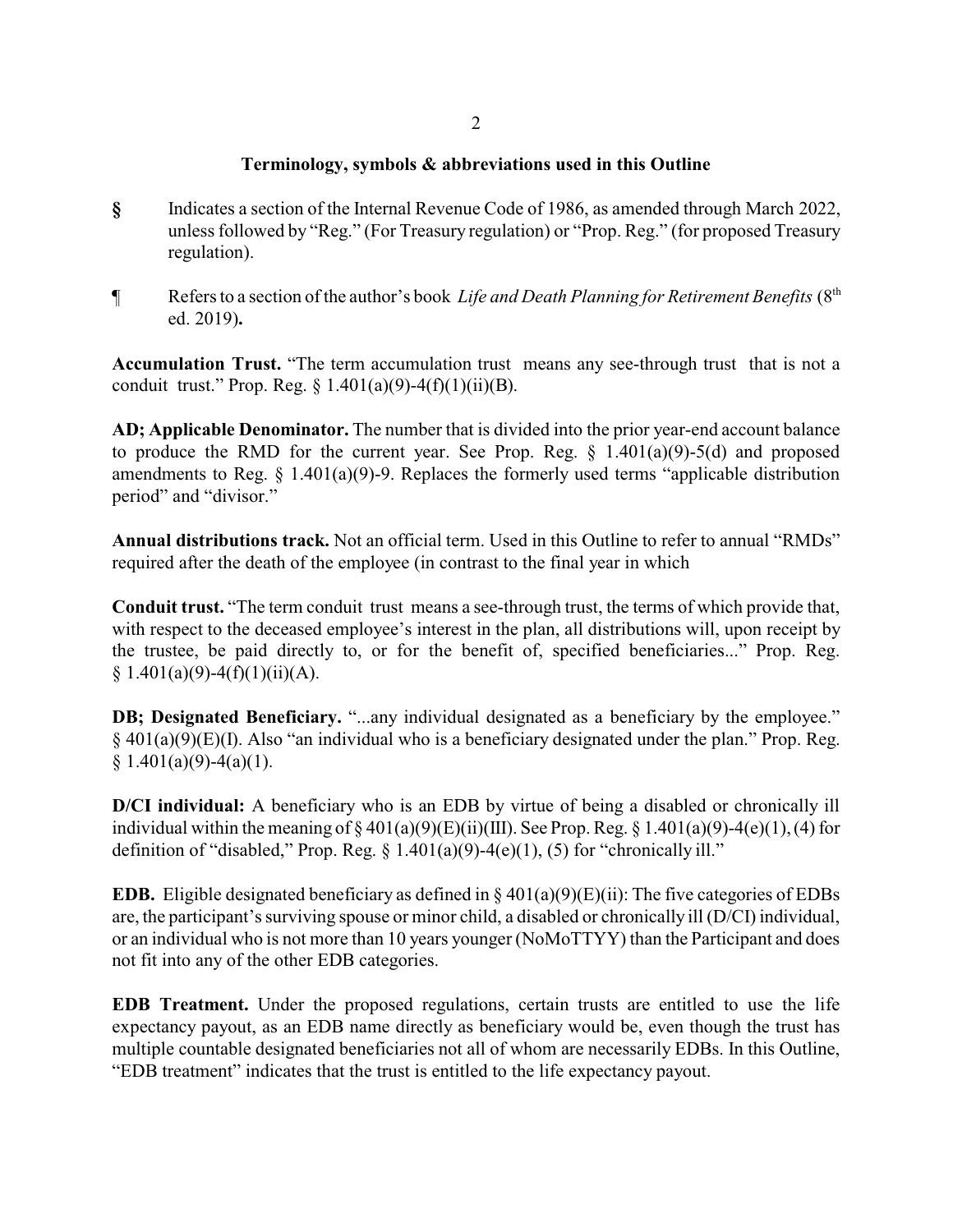## **Terminology, symbols & abbreviations used in this Outline**

- **§** Indicates a section of the Internal Revenue Code of 1986, as amended through March 2022, unless followed by "Reg." (For Treasury regulation) or "Prop. Reg." (for proposed Treasury regulation).
- ¶ Refers to a section of the author's book *Life and Death Planning for Retirement Benefits* (8th ed. 2019)**.**

**Accumulation Trust.** "The term accumulation trust means any see-through trust that is not a conduit trust." Prop. Reg.  $\S$  1.401(a)(9)-4(f)(1)(ii)(B).

**AD; Applicable Denominator.** The number that is divided into the prior year-end account balance to produce the RMD for the current year. See Prop. Reg.  $\S$  1.401(a)(9)-5(d) and proposed amendments to Reg. § 1.401(a)(9)-9. Replaces the formerly used terms "applicable distribution period" and "divisor."

**Annual distributions track.** Not an official term. Used in this Outline to refer to annual "RMDs" required after the death of the employee (in contrast to the final year in which

**Conduit trust.** "The term conduit trust means a see-through trust, the terms of which provide that, with respect to the deceased employee's interest in the plan, all distributions will, upon receipt by the trustee, be paid directly to, or for the benefit of, specified beneficiaries..." Prop. Reg.  $§ 1.401(a)(9)-4(f)(1)(ii)(A).$ 

**DB; Designated Beneficiary.** "...any individual designated as a beneficiary by the employee." § 401(a)(9)(E)(I). Also "an individual who is a beneficiary designated under the plan." Prop. Reg.  $§ 1.401(a)(9) - 4(a)(1).$ 

**D/CI individual:** A beneficiary who is an EDB by virtue of being a disabled or chronically ill individual within the meaning of  $\S 401(a)(9)(E)(ii)(III)$ . See Prop. Reg.  $\S 1.401(a)(9)-4(e)(1)$ , (4) for definition of "disabled," Prop. Reg.  $\S$  1.401(a)(9)-4(e)(1), (5) for "chronically ill."

**EDB.** Eligible designated beneficiary as defined in  $\S 401(a)(9)(E)(ii)$ : The five categories of EDBs are, the participant's surviving spouse or minor child, a disabled or chronically ill (D/CI) individual, or an individual who is not more than 10 years younger (NoMoTTYY) than the Participant and does not fit into any of the other EDB categories.

**EDB Treatment.** Under the proposed regulations, certain trusts are entitled to use the life expectancy payout, as an EDB name directly as beneficiary would be, even though the trust has multiple countable designated beneficiaries not all of whom are necessarily EDBs. In this Outline, "EDB treatment" indicates that the trust is entitled to the life expectancy payout.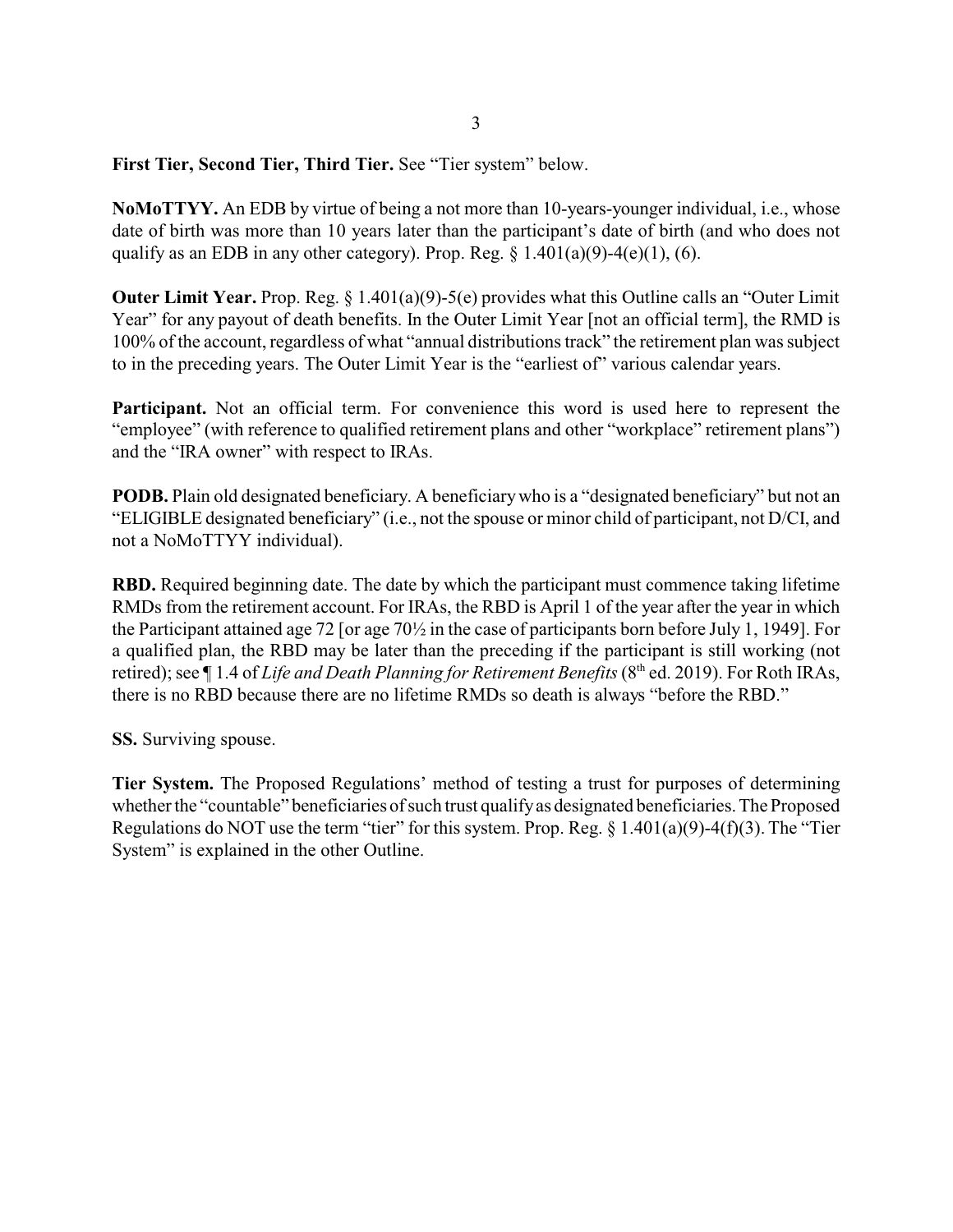**First Tier, Second Tier, Third Tier.** See "Tier system" below.

**NoMoTTYY.** An EDB by virtue of being a not more than 10-years-younger individual, i.e., whose date of birth was more than 10 years later than the participant's date of birth (and who does not qualify as an EDB in any other category). Prop. Reg.  $\S$  1.401(a)(9)-4(e)(1), (6).

**Outer Limit Year.** Prop. Reg. § 1.401(a)(9)-5(e) provides what this Outline calls an "Outer Limit Year" for any payout of death benefits. In the Outer Limit Year [not an official term], the RMD is 100% of the account, regardless of what "annual distributions track" the retirement plan was subject to in the preceding years. The Outer Limit Year is the "earliest of" various calendar years.

Participant. Not an official term. For convenience this word is used here to represent the "employee" (with reference to qualified retirement plans and other "workplace" retirement plans") and the "IRA owner" with respect to IRAs.

**PODB.** Plain old designated beneficiary. A beneficiary who is a "designated beneficiary" but not an "ELIGIBLE designated beneficiary" (i.e., not the spouse or minor child of participant, not D/CI, and not a NoMoTTYY individual).

**RBD.** Required beginning date. The date by which the participant must commence taking lifetime RMDs from the retirement account. For IRAs, the RBD is April 1 of the year after the year in which the Participant attained age 72 [or age 70½ in the case of participants born before July 1, 1949]. For a qualified plan, the RBD may be later than the preceding if the participant is still working (not retired); see ¶ 1.4 of *Life and Death Planning for Retirement Benefits* (8<sup>th</sup> ed. 2019). For Roth IRAs, there is no RBD because there are no lifetime RMDs so death is always "before the RBD."

**SS.** Surviving spouse.

**Tier System.** The Proposed Regulations' method of testing a trust for purposes of determining whether the "countable" beneficiaries of such trust qualifyas designated beneficiaries. The Proposed Regulations do NOT use the term "tier" for this system. Prop. Reg.  $\S 1.401(a)(9) - 4(f)(3)$ . The "Tier System" is explained in the other Outline.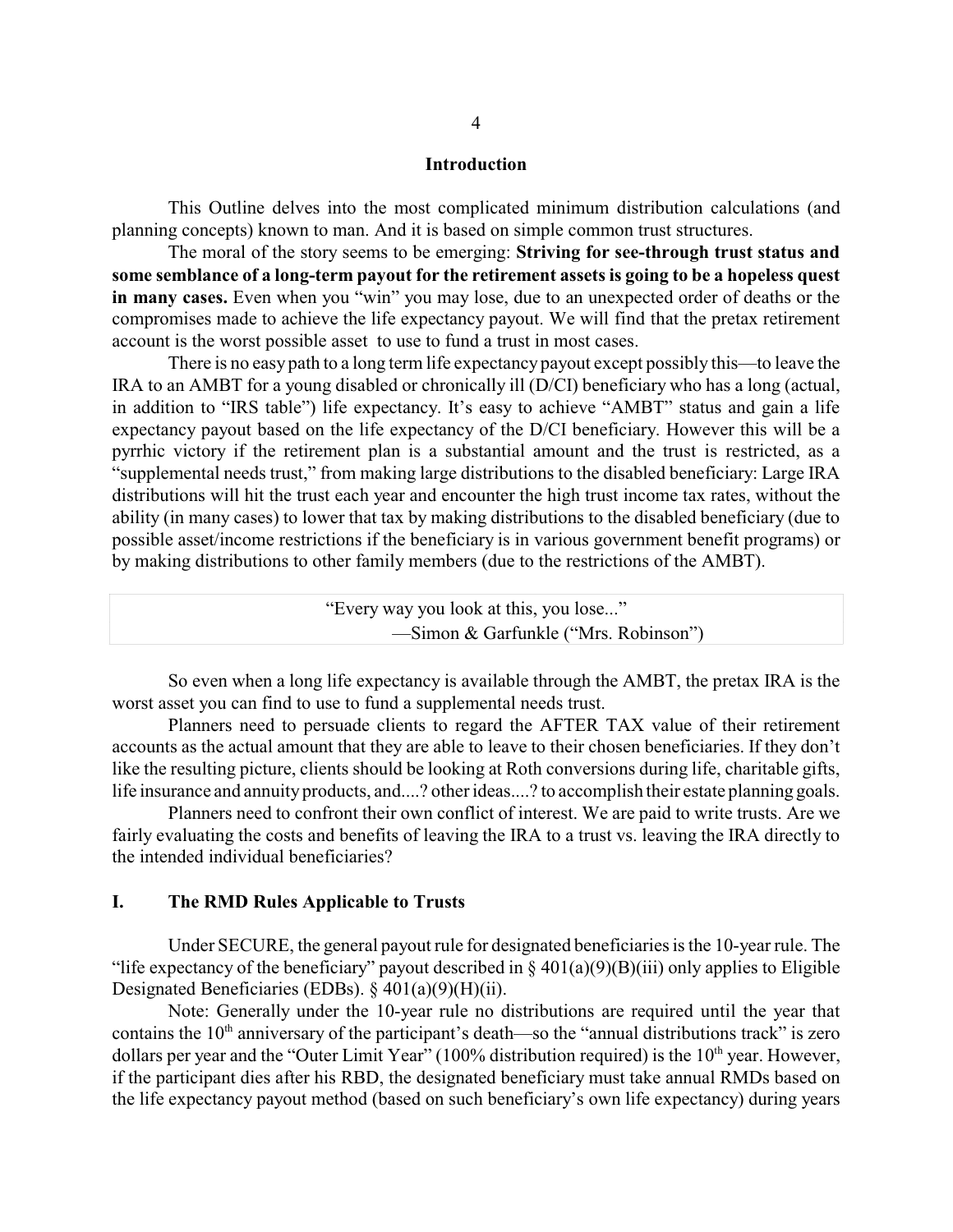### **Introduction**

This Outline delves into the most complicated minimum distribution calculations (and planning concepts) known to man. And it is based on simple common trust structures.

The moral of the story seems to be emerging: **Striving for see-through trust status and some semblance of a long-term payout for the retirement assets is going to be a hopeless quest in many cases.** Even when you "win" you may lose, due to an unexpected order of deaths or the compromises made to achieve the life expectancy payout. We will find that the pretax retirement account is the worst possible asset to use to fund a trust in most cases.

There is no easy path to a long term life expectancy payout except possibly this—to leave the IRA to an AMBT for a young disabled or chronically ill (D/CI) beneficiary who has a long (actual, in addition to "IRS table") life expectancy. It's easy to achieve "AMBT" status and gain a life expectancy payout based on the life expectancy of the D/CI beneficiary. However this will be a pyrrhic victory if the retirement plan is a substantial amount and the trust is restricted, as a "supplemental needs trust," from making large distributions to the disabled beneficiary: Large IRA distributions will hit the trust each year and encounter the high trust income tax rates, without the ability (in many cases) to lower that tax by making distributions to the disabled beneficiary (due to possible asset/income restrictions if the beneficiary is in various government benefit programs) or by making distributions to other family members (due to the restrictions of the AMBT).

| "Every way you look at this, you lose" |  |
|----------------------------------------|--|
| — Simon & Garfunkle ("Mrs. Robinson")  |  |

So even when a long life expectancy is available through the AMBT, the pretax IRA is the worst asset you can find to use to fund a supplemental needs trust.

Planners need to persuade clients to regard the AFTER TAX value of their retirement accounts as the actual amount that they are able to leave to their chosen beneficiaries. If they don't like the resulting picture, clients should be looking at Roth conversions during life, charitable gifts, life insurance and annuity products, and....? other ideas....? to accomplish their estate planning goals.

Planners need to confront their own conflict of interest. We are paid to write trusts. Are we fairly evaluating the costs and benefits of leaving the IRA to a trust vs. leaving the IRA directly to the intended individual beneficiaries?

### **I. The RMD Rules Applicable to Trusts**

Under SECURE, the general payout rule for designated beneficiaries is the 10-year rule. The "life expectancy of the beneficiary" payout described in  $\S 401(a)(9)(B)(iii)$  only applies to Eligible Designated Beneficiaries (EDBs). § 401(a)(9)(H)(ii).

Note: Generally under the 10-year rule no distributions are required until the year that contains the 10<sup>th</sup> anniversary of the participant's death—so the "annual distributions track" is zero dollars per year and the "Outer Limit Year" (100% distribution required) is the  $10<sup>th</sup>$  year. However, if the participant dies after his RBD, the designated beneficiary must take annual RMDs based on the life expectancy payout method (based on such beneficiary's own life expectancy) during years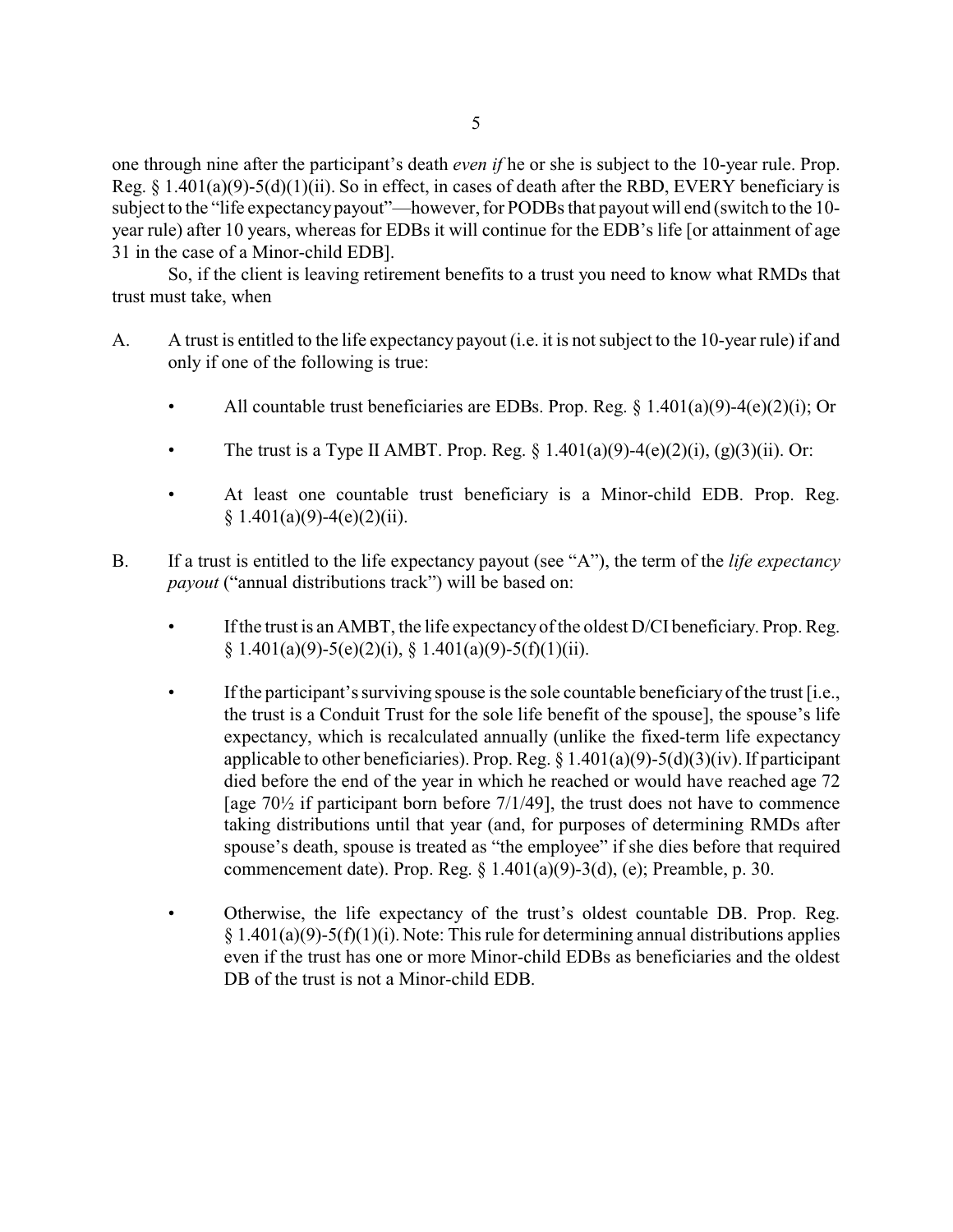one through nine after the participant's death *even if* he or she is subject to the 10-year rule. Prop. Reg. § 1.401(a)(9)-5(d)(1)(ii). So in effect, in cases of death after the RBD, EVERY beneficiary is subject to the "life expectancy payout"—however, for PODBs that payout will end (switch to the 10 year rule) after 10 years, whereas for EDBs it will continue for the EDB's life [or attainment of age 31 in the case of a Minor-child EDB].

So, if the client is leaving retirement benefits to a trust you need to know what RMDs that trust must take, when

- A. A trust is entitled to the life expectancy payout (i.e. it is not subject to the 10-year rule) if and only if one of the following is true:
	- All countable trust beneficiaries are EDBs. Prop. Reg.  $\S 1.401(a)(9) 4(e)(2)(i)$ ; Or
	- The trust is a Type II AMBT. Prop. Reg.  $\S 1.401(a)(9) 4(e)(2)(i)$ , (g)(3)(ii). Or:
	- At least one countable trust beneficiary is a Minor-child EDB. Prop. Reg.  $§ 1.401(a)(9)-4(e)(2)(ii).$
- B. If a trust is entitled to the life expectancy payout (see "A"), the term of the *life expectancy payout* ("annual distributions track") will be based on:
	- If the trust is an AMBT, the life expectancy of the oldest D/CI beneficiary. Prop. Reg. § 1.401(a)(9)-5(e)(2)(i), § 1.401(a)(9)-5(f)(1)(ii).
	- If the participant's surviving spouse is the sole countable beneficiary of the trust [i.e., the trust is a Conduit Trust for the sole life benefit of the spouse], the spouse's life expectancy, which is recalculated annually (unlike the fixed-term life expectancy applicable to other beneficiaries). Prop. Reg.  $\S 1.401(a)(9) - 5(d)(3)(iv)$ . If participant died before the end of the year in which he reached or would have reached age 72 [age  $70\frac{1}{2}$  if participant born before  $7/1/49$ ], the trust does not have to commence taking distributions until that year (and, for purposes of determining RMDs after spouse's death, spouse is treated as "the employee" if she dies before that required commencement date). Prop. Reg.  $\S$  1.401(a)(9)-3(d), (e); Preamble, p. 30.
	- Otherwise, the life expectancy of the trust's oldest countable DB. Prop. Reg.  $§ 1.401(a)(9)-5(f)(1)(i)$ . Note: This rule for determining annual distributions applies even if the trust has one or more Minor-child EDBs as beneficiaries and the oldest DB of the trust is not a Minor-child EDB.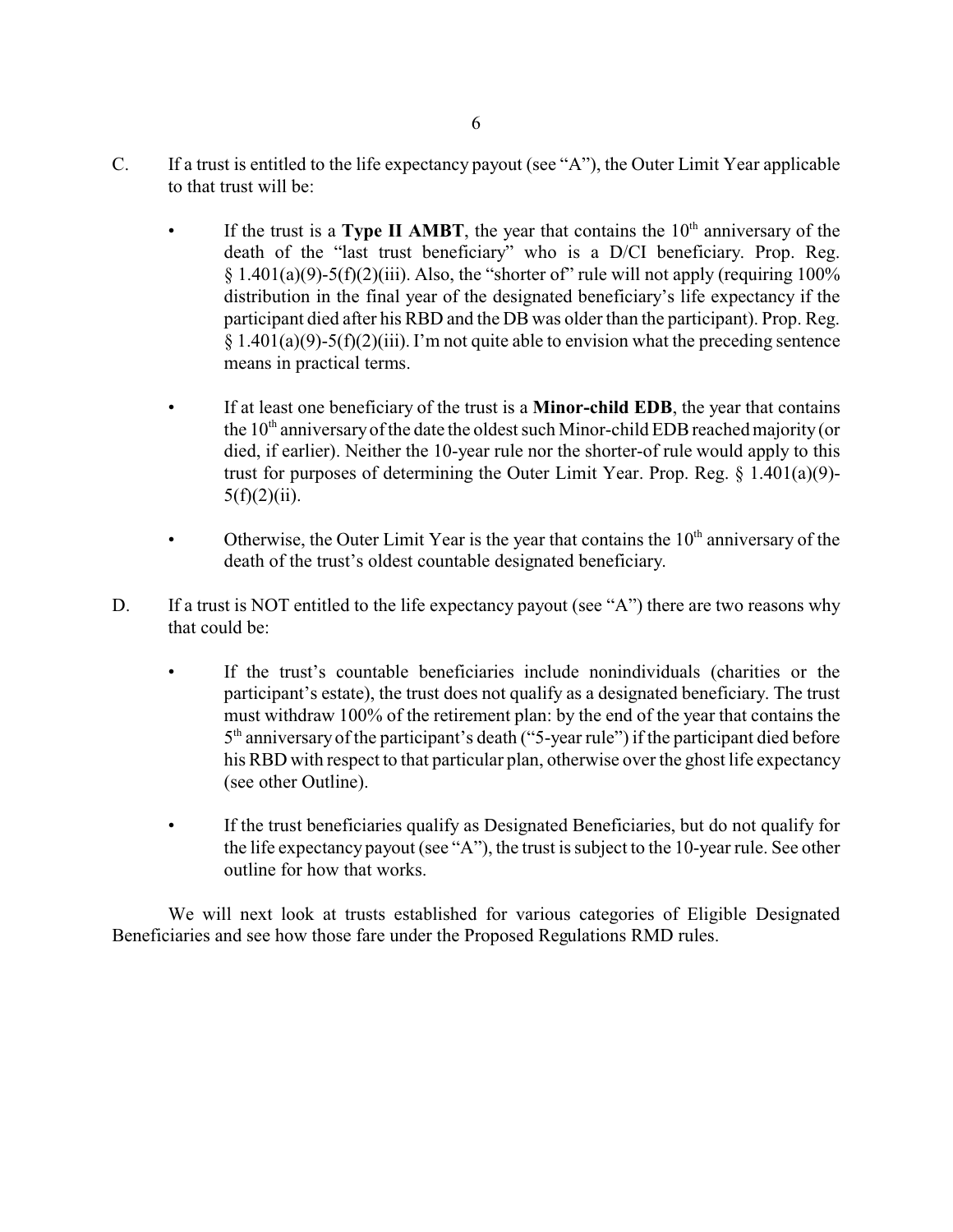- C. If a trust is entitled to the life expectancy payout (see "A"), the Outer Limit Year applicable to that trust will be:
	- If the trust is a **Type II AMBT**, the year that contains the 10<sup>th</sup> anniversary of the death of the "last trust beneficiary" who is a D/CI beneficiary. Prop. Reg.  $§ 1.401(a)(9)-5(f)(2)(iii)$ . Also, the "shorter of" rule will not apply (requiring 100%) distribution in the final year of the designated beneficiary's life expectancy if the participant died after his RBD and the DB was older than the participant). Prop. Reg.  $§ 1.401(a)(9)-5(f)(2)(iii)$ . I'm not quite able to envision what the preceding sentence means in practical terms.
	- If at least one beneficiary of the trust is a **Minor-child EDB**, the year that contains the  $10<sup>th</sup>$  anniversary of the date the oldest such Minor-child EDB reached majority (or died, if earlier). Neither the 10-year rule nor the shorter-of rule would apply to this trust for purposes of determining the Outer Limit Year. Prop. Reg.  $\S$  1.401(a)(9)- $5(f)(2)(ii)$ .
	- Otherwise, the Outer Limit Year is the year that contains the  $10<sup>th</sup>$  anniversary of the death of the trust's oldest countable designated beneficiary.
- D. If a trust is NOT entitled to the life expectancy payout (see "A") there are two reasons why that could be:
	- If the trust's countable beneficiaries include nonindividuals (charities or the participant's estate), the trust does not qualify as a designated beneficiary. The trust must withdraw 100% of the retirement plan: by the end of the year that contains the 5<sup>th</sup> anniversary of the participant's death ("5-year rule") if the participant died before his RBD with respect to that particular plan, otherwise over the ghost life expectancy (see other Outline).
	- If the trust beneficiaries qualify as Designated Beneficiaries, but do not qualify for the life expectancy payout (see "A"), the trust is subject to the 10-year rule. See other outline for how that works.

We will next look at trusts established for various categories of Eligible Designated Beneficiaries and see how those fare under the Proposed Regulations RMD rules.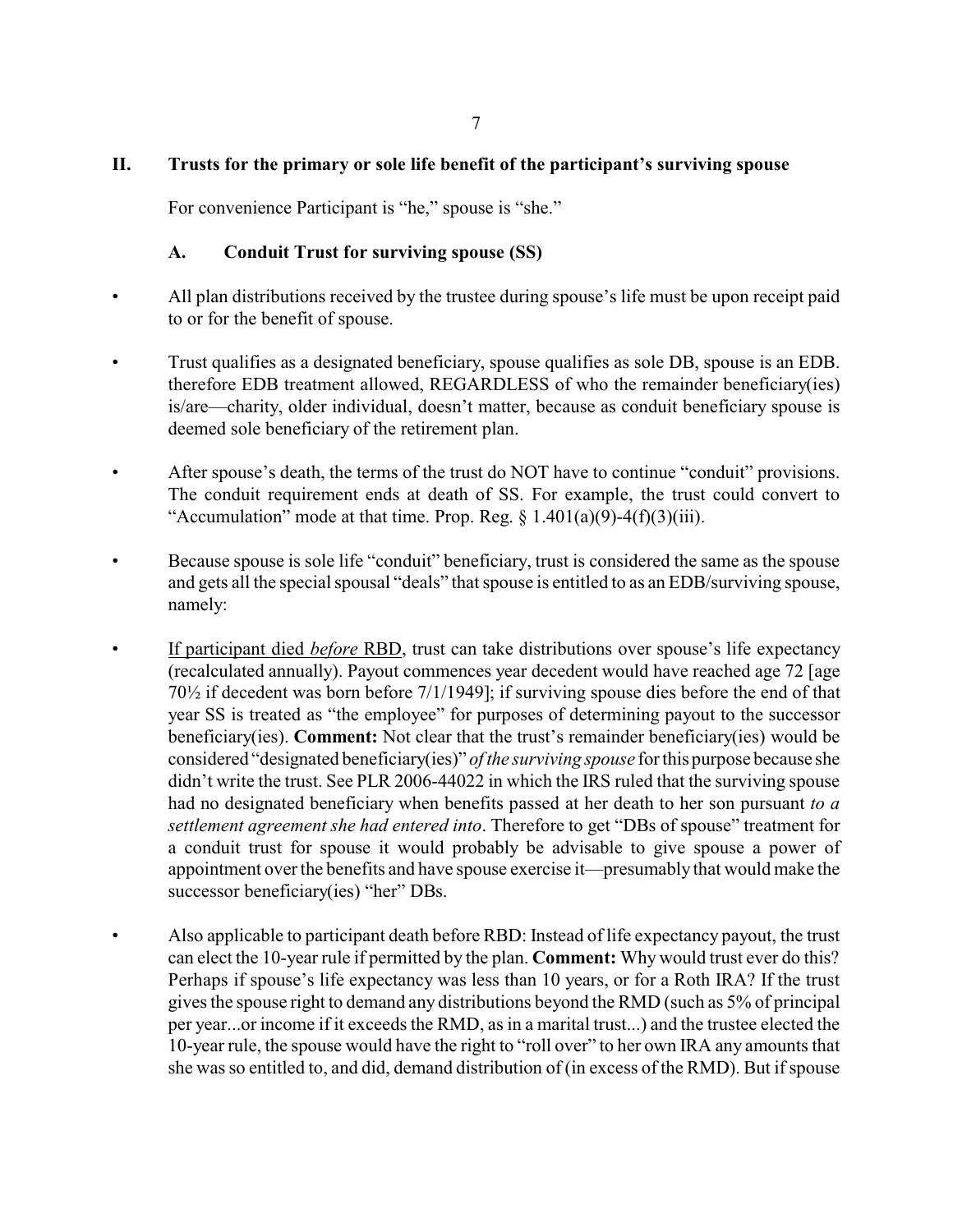## **II. Trusts for the primary or sole life benefit of the participant's surviving spouse**

For convenience Participant is "he," spouse is "she."

## **A. Conduit Trust for surviving spouse (SS)**

- All plan distributions received by the trustee during spouse's life must be upon receipt paid to or for the benefit of spouse.
- Trust qualifies as a designated beneficiary, spouse qualifies as sole DB, spouse is an EDB. therefore EDB treatment allowed, REGARDLESS of who the remainder beneficiary(ies) is/are—charity, older individual, doesn't matter, because as conduit beneficiary spouse is deemed sole beneficiary of the retirement plan.
- After spouse's death, the terms of the trust do NOT have to continue "conduit" provisions. The conduit requirement ends at death of SS. For example, the trust could convert to "Accumulation" mode at that time. Prop. Reg.  $\S 1.401(a)(9) - 4(f)(3)(iii)$ .
- Because spouse is sole life "conduit" beneficiary, trust is considered the same as the spouse and gets all the special spousal "deals" that spouse is entitled to as an EDB/surviving spouse, namely:
- If participant died *before* RBD, trust can take distributions over spouse's life expectancy (recalculated annually). Payout commences year decedent would have reached age 72 [age 70½ if decedent was born before 7/1/1949]; if surviving spouse dies before the end of that year SS is treated as "the employee" for purposes of determining payout to the successor beneficiary(ies). **Comment:** Not clear that the trust's remainder beneficiary(ies) would be considered "designated beneficiary(ies)" *of the surviving spouse* for this purpose because she didn't write the trust. See PLR 2006-44022 in which the IRS ruled that the surviving spouse had no designated beneficiary when benefits passed at her death to her son pursuant *to a settlement agreement she had entered into*. Therefore to get "DBs of spouse" treatment for a conduit trust for spouse it would probably be advisable to give spouse a power of appointment over the benefits and have spouse exercise it—presumably that would make the successor beneficiary(ies) "her" DBs.
- Also applicable to participant death before RBD: Instead of life expectancy payout, the trust can elect the 10-year rule if permitted by the plan. **Comment:** Why would trust ever do this? Perhaps if spouse's life expectancy was less than 10 years, or for a Roth IRA? If the trust gives the spouse right to demand any distributions beyond the RMD (such as 5% of principal per year...or income if it exceeds the RMD, as in a marital trust...) and the trustee elected the 10-year rule, the spouse would have the right to "roll over" to her own IRA any amounts that she was so entitled to, and did, demand distribution of (in excess of the RMD). But if spouse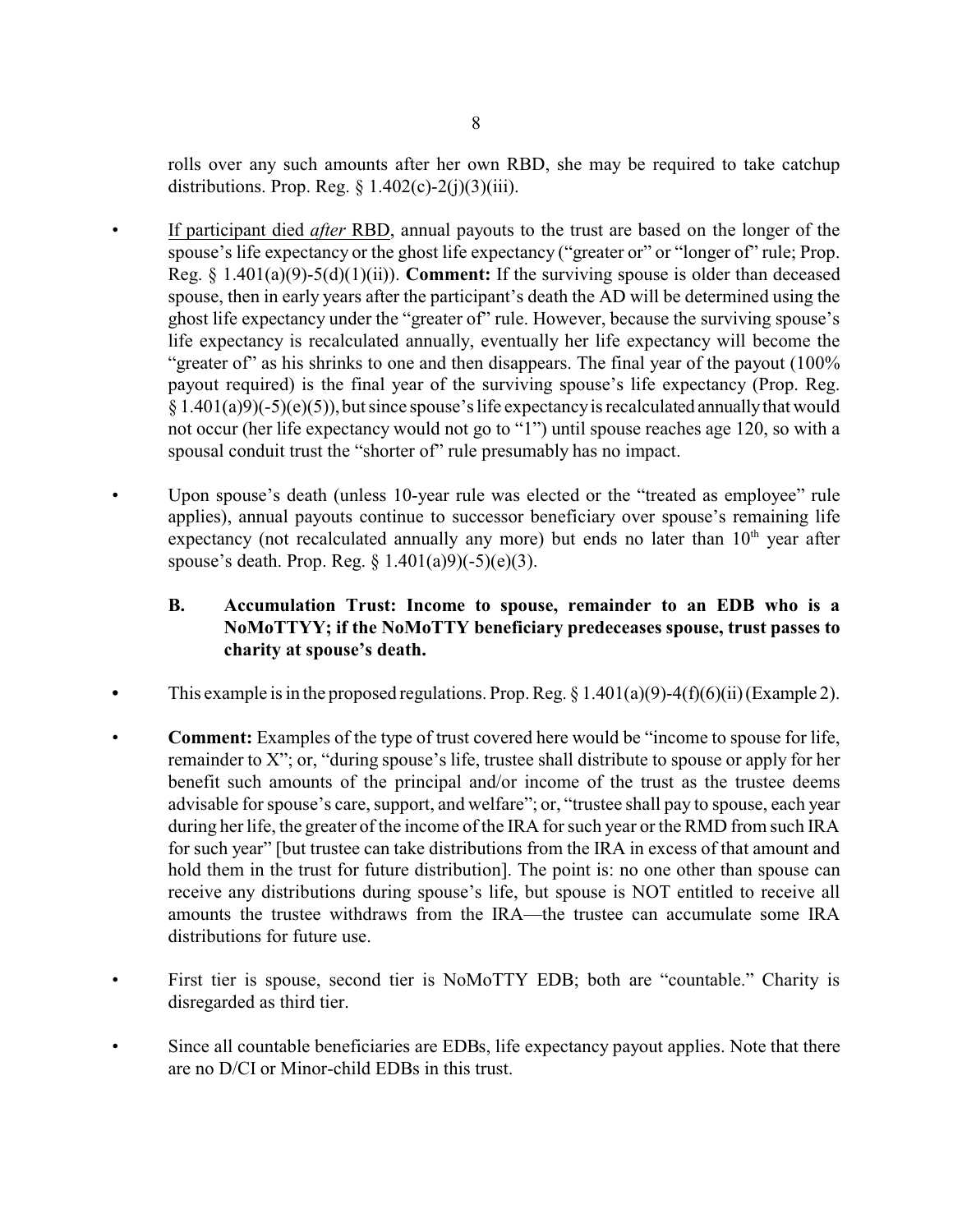rolls over any such amounts after her own RBD, she may be required to take catchup distributions. Prop. Reg.  $\S$  1.402(c)-2(j)(3)(iii).

- If participant died *after* RBD, annual payouts to the trust are based on the longer of the spouse's life expectancy or the ghost life expectancy ("greater or" or "longer of" rule; Prop. Reg. § 1.401(a)(9)-5(d)(1)(ii)). **Comment:** If the surviving spouse is older than deceased spouse, then in early years after the participant's death the AD will be determined using the ghost life expectancy under the "greater of" rule. However, because the surviving spouse's life expectancy is recalculated annually, eventually her life expectancy will become the "greater of" as his shrinks to one and then disappears. The final year of the payout (100%) payout required) is the final year of the surviving spouse's life expectancy (Prop. Reg.  $§ 1.401(a)9$ (-5)(e)(5)), but since spouse's life expectancy is recalculated annually that would not occur (her life expectancy would not go to "1") until spouse reaches age 120, so with a spousal conduit trust the "shorter of" rule presumably has no impact.
- Upon spouse's death (unless 10-year rule was elected or the "treated as employee" rule applies), annual payouts continue to successor beneficiary over spouse's remaining life expectancy (not recalculated annually any more) but ends no later than 10<sup>th</sup> year after spouse's death. Prop. Reg.  $\S 1.401(a)9$ (-5)(e)(3).

## **B. Accumulation Trust: Income to spouse, remainder to an EDB who is a NoMoTTYY; if the NoMoTTY beneficiary predeceases spouse, trust passes to charity at spouse's death.**

- This example is in the proposed regulations. Prop. Reg.  $\S 1.401(a)(9)$ -4(f)(6)(ii)(Example 2).
- **Comment:** Examples of the type of trust covered here would be "income to spouse for life, remainder to X"; or, "during spouse's life, trustee shall distribute to spouse or apply for her benefit such amounts of the principal and/or income of the trust as the trustee deems advisable for spouse's care, support, and welfare"; or, "trustee shall pay to spouse, each year during her life, the greater of the income of the IRA for such year or the RMD from such IRA for such year" [but trustee can take distributions from the IRA in excess of that amount and hold them in the trust for future distribution]. The point is: no one other than spouse can receive any distributions during spouse's life, but spouse is NOT entitled to receive all amounts the trustee withdraws from the IRA—the trustee can accumulate some IRA distributions for future use.
- First tier is spouse, second tier is NoMoTTY EDB; both are "countable." Charity is disregarded as third tier.
- Since all countable beneficiaries are EDBs, life expectancy payout applies. Note that there are no D/CI or Minor-child EDBs in this trust.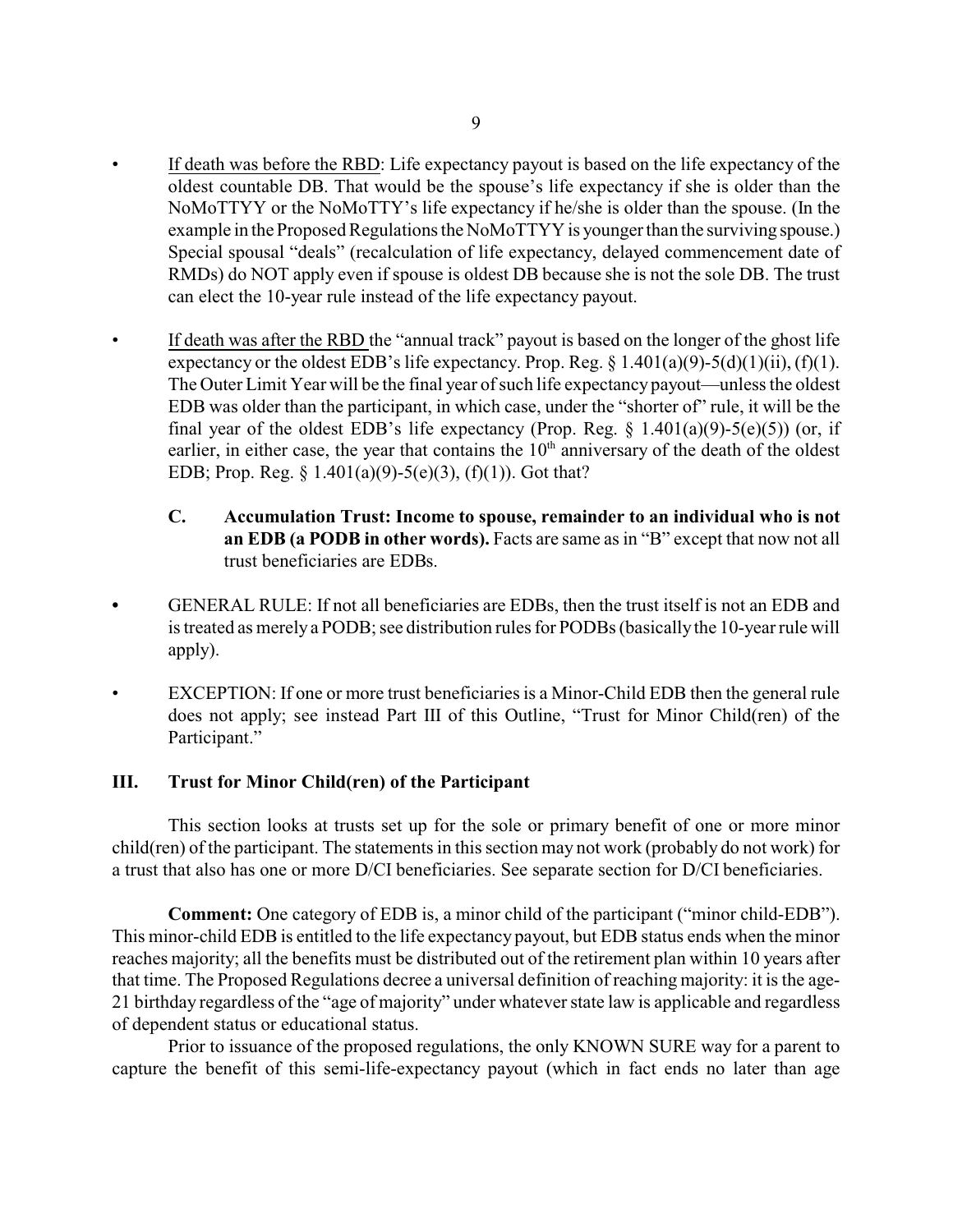- If death was before the RBD: Life expectancy payout is based on the life expectancy of the oldest countable DB. That would be the spouse's life expectancy if she is older than the NoMoTTYY or the NoMoTTY's life expectancy if he/she is older than the spouse. (In the example in the Proposed Regulations the NoMoTTYY is younger than the surviving spouse.) Special spousal "deals" (recalculation of life expectancy, delayed commencement date of RMDs) do NOT apply even if spouse is oldest DB because she is not the sole DB. The trust can elect the 10-year rule instead of the life expectancy payout.
- If death was after the RBD the "annual track" payout is based on the longer of the ghost life expectancy or the oldest EDB's life expectancy. Prop. Reg.  $\S 1.401(a)(9) - 5(d)(1)(ii)$ , (f)(1). The Outer Limit Year will be the final year of such life expectancy payout—unless the oldest EDB was older than the participant, in which case, under the "shorter of" rule, it will be the final year of the oldest EDB's life expectancy (Prop. Reg.  $\S$  1.401(a)(9)-5(e)(5)) (or, if earlier, in either case, the year that contains the  $10<sup>th</sup>$  anniversary of the death of the oldest EDB; Prop. Reg.  $\S 1.401(a)(9) - 5(e)(3)$ , (f)(1)). Got that?
	- **C. Accumulation Trust: Income to spouse, remainder to an individual who is not an EDB (a PODB in other words).** Facts are same as in "B" except that now not all trust beneficiaries are EDBs.
- **•** GENERAL RULE: If not all beneficiaries are EDBs, then the trust itself is not an EDB and is treated as merely a PODB; see distribution rules for PODBs (basicallythe 10-year rule will apply).
- EXCEPTION: If one or more trust beneficiaries is a Minor-Child EDB then the general rule does not apply; see instead Part III of this Outline, "Trust for Minor Child(ren) of the Participant."

## **III. Trust for Minor Child(ren) of the Participant**

This section looks at trusts set up for the sole or primary benefit of one or more minor child(ren) of the participant. The statements in this section may not work (probably do not work) for a trust that also has one or more D/CI beneficiaries. See separate section for D/CI beneficiaries.

**Comment:** One category of EDB is, a minor child of the participant ("minor child-EDB"). This minor-child EDB is entitled to the life expectancy payout, but EDB status ends when the minor reaches majority; all the benefits must be distributed out of the retirement plan within 10 years after that time. The Proposed Regulations decree a universal definition of reaching majority: it is the age-21 birthday regardless of the "age of majority" under whatever state law is applicable and regardless of dependent status or educational status.

Prior to issuance of the proposed regulations, the only KNOWN SURE way for a parent to capture the benefit of this semi-life-expectancy payout (which in fact ends no later than age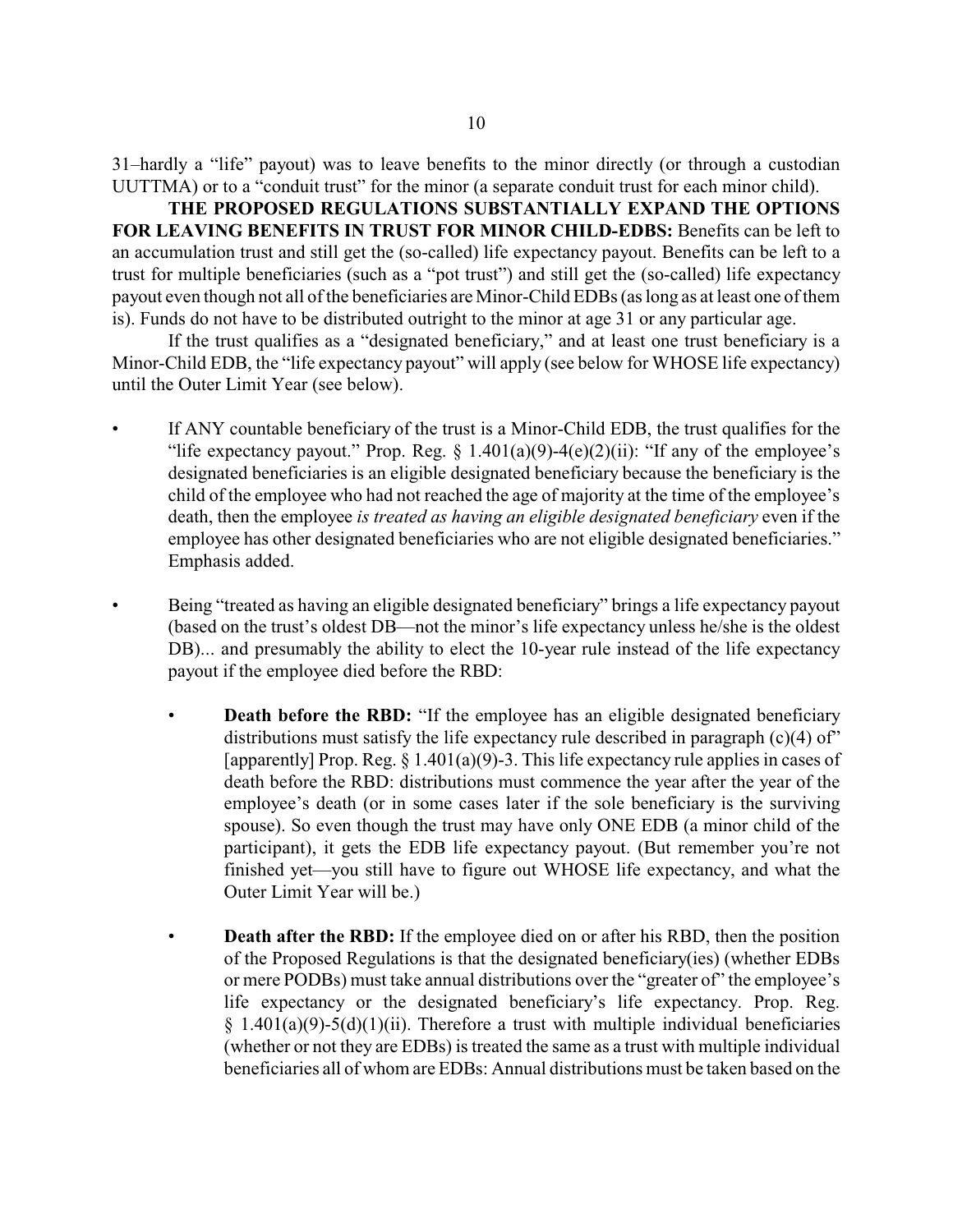31–hardly a "life" payout) was to leave benefits to the minor directly (or through a custodian UUTTMA) or to a "conduit trust" for the minor (a separate conduit trust for each minor child).

**THE PROPOSED REGULATIONS SUBSTANTIALLY EXPAND THE OPTIONS FOR LEAVING BENEFITS IN TRUST FOR MINOR CHILD-EDBS:** Benefits can be left to an accumulation trust and still get the (so-called) life expectancy payout. Benefits can be left to a trust for multiple beneficiaries (such as a "pot trust") and still get the (so-called) life expectancy payout even though not all of the beneficiaries are Minor-Child EDBs (as long as at least one of them is). Funds do not have to be distributed outright to the minor at age 31 or any particular age.

If the trust qualifies as a "designated beneficiary," and at least one trust beneficiary is a Minor-Child EDB, the "life expectancy payout" will apply (see below for WHOSE life expectancy) until the Outer Limit Year (see below).

- If ANY countable beneficiary of the trust is a Minor-Child EDB, the trust qualifies for the "life expectancy payout." Prop. Reg.  $\S$  1.401(a)(9)-4(e)(2)(ii): "If any of the employee's designated beneficiaries is an eligible designated beneficiary because the beneficiary is the child of the employee who had not reached the age of majority at the time of the employee's death, then the employee *is treated as having an eligible designated beneficiary* even if the employee has other designated beneficiaries who are not eligible designated beneficiaries." Emphasis added.
- Being "treated as having an eligible designated beneficiary" brings a life expectancy payout (based on the trust's oldest DB—not the minor's life expectancy unless he/she is the oldest DB)... and presumably the ability to elect the 10-year rule instead of the life expectancy payout if the employee died before the RBD:
	- **Death before the RBD:** "If the employee has an eligible designated beneficiary distributions must satisfy the life expectancy rule described in paragraph  $(c)(4)$  of" [apparently] Prop. Reg. § 1.401(a)(9)-3. This life expectancy rule applies in cases of death before the RBD: distributions must commence the year after the year of the employee's death (or in some cases later if the sole beneficiary is the surviving spouse). So even though the trust may have only ONE EDB (a minor child of the participant), it gets the EDB life expectancy payout. (But remember you're not finished yet—you still have to figure out WHOSE life expectancy, and what the Outer Limit Year will be.)
	- **Death after the RBD:** If the employee died on or after his RBD, then the position of the Proposed Regulations is that the designated beneficiary(ies) (whether EDBs or mere PODBs) must take annual distributions over the "greater of" the employee's life expectancy or the designated beneficiary's life expectancy. Prop. Reg.  $§$  1.401(a)(9)-5(d)(1)(ii). Therefore a trust with multiple individual beneficiaries (whether or not they are EDBs) is treated the same as a trust with multiple individual beneficiaries all of whom are EDBs: Annual distributions must be taken based on the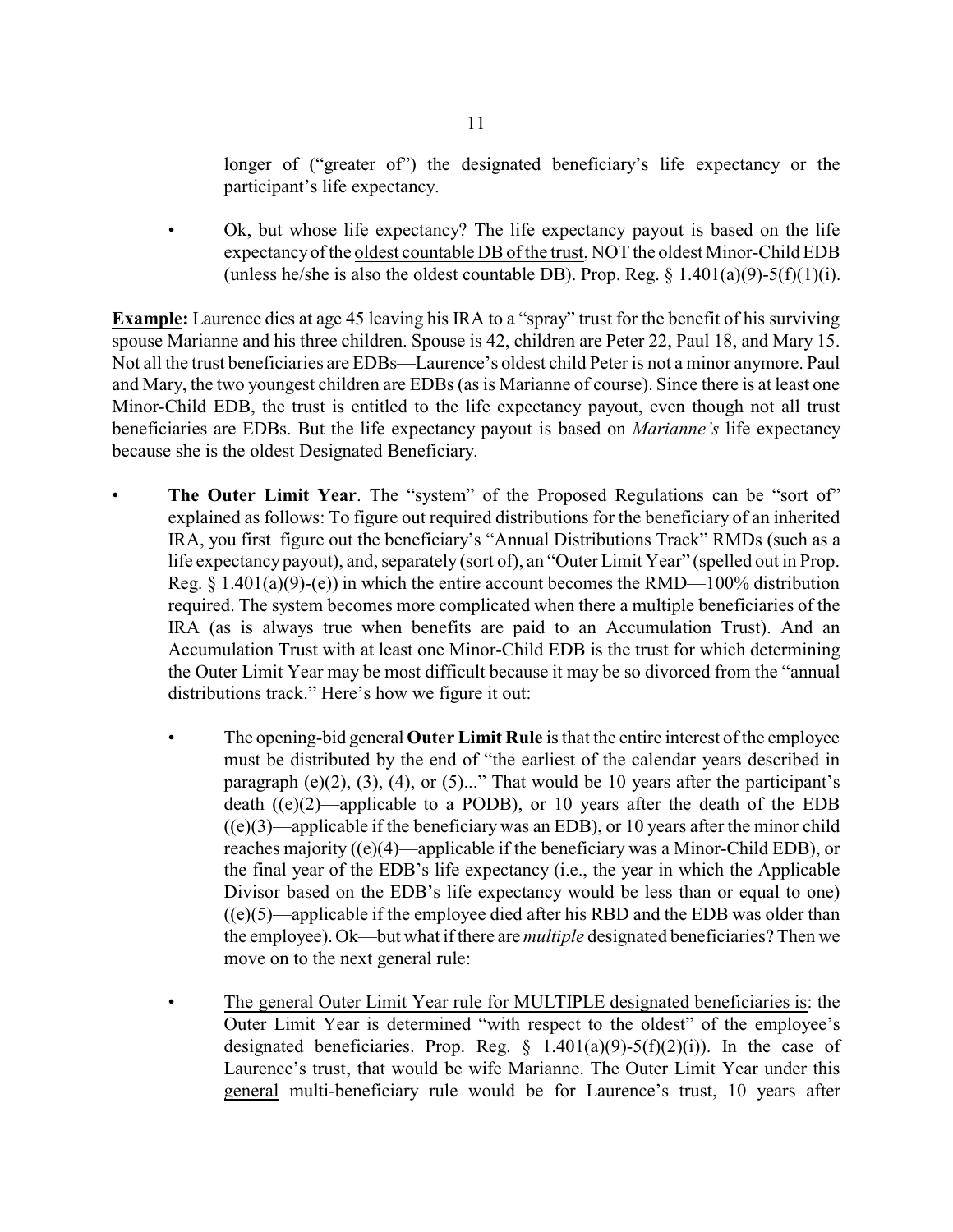longer of ("greater of") the designated beneficiary's life expectancy or the participant's life expectancy.

• Ok, but whose life expectancy? The life expectancy payout is based on the life expectancyof the oldest countable DBof the trust, NOT the oldest Minor-Child EDB (unless he/she is also the oldest countable DB). Prop. Reg.  $\S$  1.401(a)(9)-5(f)(1)(i).

**Example:** Laurence dies at age 45 leaving his IRA to a "spray" trust for the benefit of his surviving spouse Marianne and his three children. Spouse is 42, children are Peter 22, Paul 18, and Mary 15. Not all the trust beneficiaries are EDBs—Laurence's oldest child Peter is not a minor anymore. Paul and Mary, the two youngest children are EDBs (as is Marianne of course). Since there is at least one Minor-Child EDB, the trust is entitled to the life expectancy payout, even though not all trust beneficiaries are EDBs. But the life expectancy payout is based on *Marianne's* life expectancy because she is the oldest Designated Beneficiary.

- **The Outer Limit Year.** The "system" of the Proposed Regulations can be "sort of" explained as follows: To figure out required distributions for the beneficiary of an inherited IRA, you first figure out the beneficiary's "Annual Distributions Track" RMDs (such as a life expectancy payout), and, separately (sort of), an "Outer Limit Year" (spelled out in Prop. Reg.  $\S$  1.401(a)(9)-(e)) in which the entire account becomes the RMD—100% distribution required. The system becomes more complicated when there a multiple beneficiaries of the IRA (as is always true when benefits are paid to an Accumulation Trust). And an Accumulation Trust with at least one Minor-Child EDB is the trust for which determining the Outer Limit Year may be most difficult because it may be so divorced from the "annual distributions track." Here's how we figure it out:
	- The opening-bid general **Outer Limit Rule** is that the entire interest of the employee must be distributed by the end of "the earliest of the calendar years described in paragraph  $(e)(2)$ ,  $(3)$ ,  $(4)$ , or  $(5)$ ..." That would be 10 years after the participant's death  $((e)(2)$ —applicable to a PODB), or 10 years after the death of the EDB  $((e)(3)$ —applicable if the beneficiary was an EDB), or 10 years after the minor child reaches majority ((e)(4)—applicable if the beneficiary was a Minor-Child EDB), or the final year of the EDB's life expectancy (i.e., the year in which the Applicable Divisor based on the EDB's life expectancy would be less than or equal to one)  $((e)(5)$ —applicable if the employee died after his RBD and the EDB was older than the employee). Ok—but what if there are *multiple* designated beneficiaries? Then we move on to the next general rule:
	- The general Outer Limit Year rule for MULTIPLE designated beneficiaries is: the Outer Limit Year is determined "with respect to the oldest" of the employee's designated beneficiaries. Prop. Reg.  $\S$  1.401(a)(9)-5(f)(2)(i)). In the case of Laurence's trust, that would be wife Marianne. The Outer Limit Year under this general multi-beneficiary rule would be for Laurence's trust, 10 years after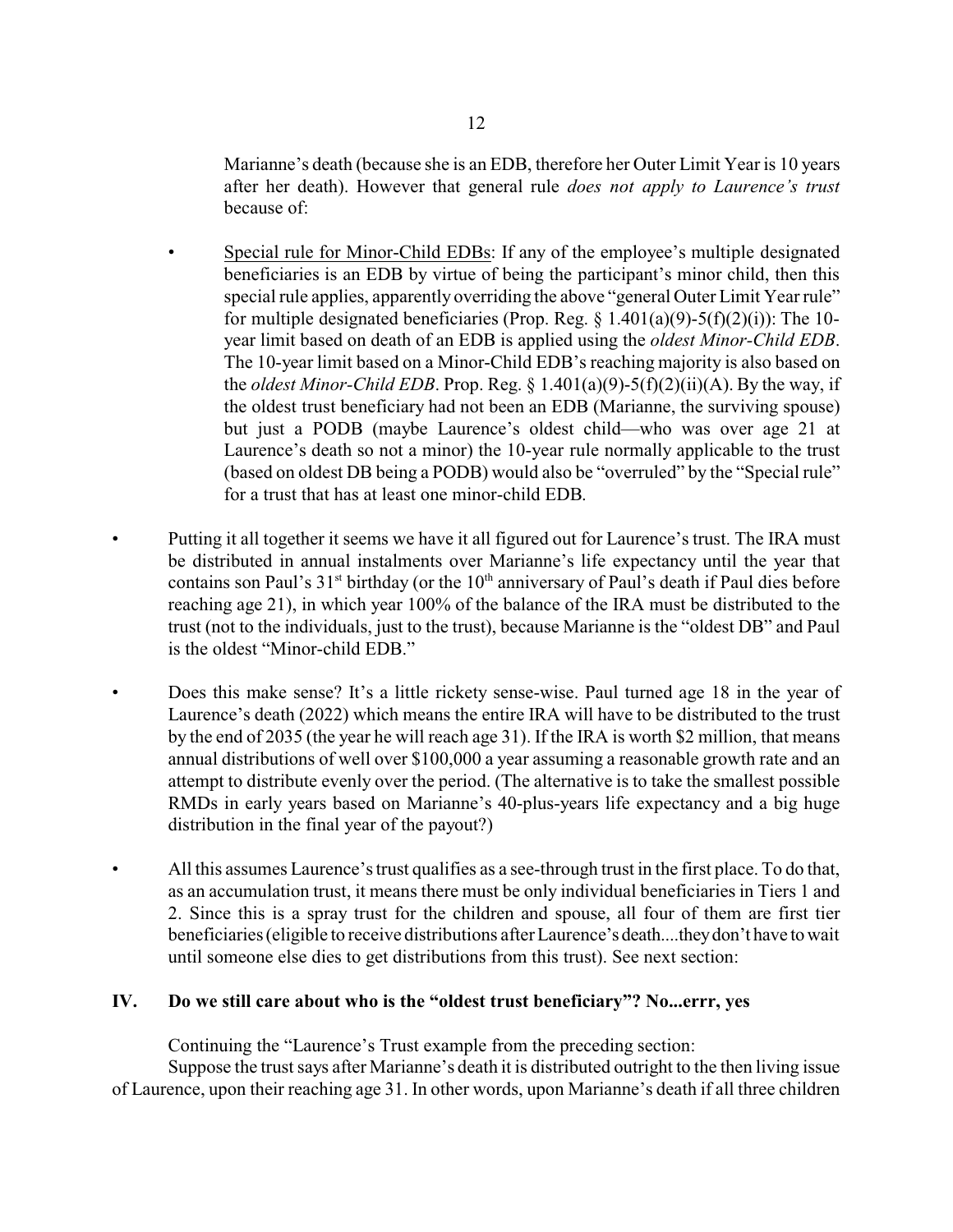Marianne's death (because she is an EDB, therefore her Outer Limit Year is 10 years after her death). However that general rule *does not apply to Laurence's trust* because of:

- Special rule for Minor-Child EDBs: If any of the employee's multiple designated beneficiaries is an EDB by virtue of being the participant's minor child, then this special rule applies, apparently overriding the above "general Outer Limit Year rule" for multiple designated beneficiaries (Prop. Reg.  $\S$  1.401(a)(9)-5(f)(2)(i)): The 10year limit based on death of an EDB is applied using the *oldest Minor-Child EDB*. The 10-year limit based on a Minor-Child EDB's reaching majority is also based on the *oldest Minor-Child EDB*. Prop. Reg.  $\S 1.401(a)(9) - 5(f)(2)(ii)(A)$ . By the way, if the oldest trust beneficiary had not been an EDB (Marianne, the surviving spouse) but just a PODB (maybe Laurence's oldest child—who was over age 21 at Laurence's death so not a minor) the 10-year rule normally applicable to the trust (based on oldest DB being a PODB) would also be "overruled" by the "Special rule" for a trust that has at least one minor-child EDB.
- Putting it all together it seems we have it all figured out for Laurence's trust. The IRA must be distributed in annual instalments over Marianne's life expectancy until the year that contains son Paul's  $31<sup>st</sup>$  birthday (or the  $10<sup>th</sup>$  anniversary of Paul's death if Paul dies before reaching age 21), in which year 100% of the balance of the IRA must be distributed to the trust (not to the individuals, just to the trust), because Marianne is the "oldest DB" and Paul is the oldest "Minor-child EDB."
- Does this make sense? It's a little rickety sense-wise. Paul turned age 18 in the year of Laurence's death (2022) which means the entire IRA will have to be distributed to the trust by the end of 2035 (the year he will reach age 31). If the IRA is worth \$2 million, that means annual distributions of well over \$100,000 a year assuming a reasonable growth rate and an attempt to distribute evenly over the period. (The alternative is to take the smallest possible RMDs in early years based on Marianne's 40-plus-years life expectancy and a big huge distribution in the final year of the payout?)
- All this assumes Laurence's trust qualifies as a see-through trust in the first place. To do that, as an accumulation trust, it means there must be only individual beneficiaries in Tiers 1 and 2. Since this is a spray trust for the children and spouse, all four of them are first tier beneficiaries (eligible to receive distributions after Laurence's death....theydon't have towait until someone else dies to get distributions from this trust). See next section:

## **IV. Do we still care about who is the "oldest trust beneficiary"? No...errr, yes**

Continuing the "Laurence's Trust example from the preceding section:

Suppose the trust says after Marianne's death it is distributed outright to the then living issue of Laurence, upon their reaching age 31. In other words, upon Marianne's death if all three children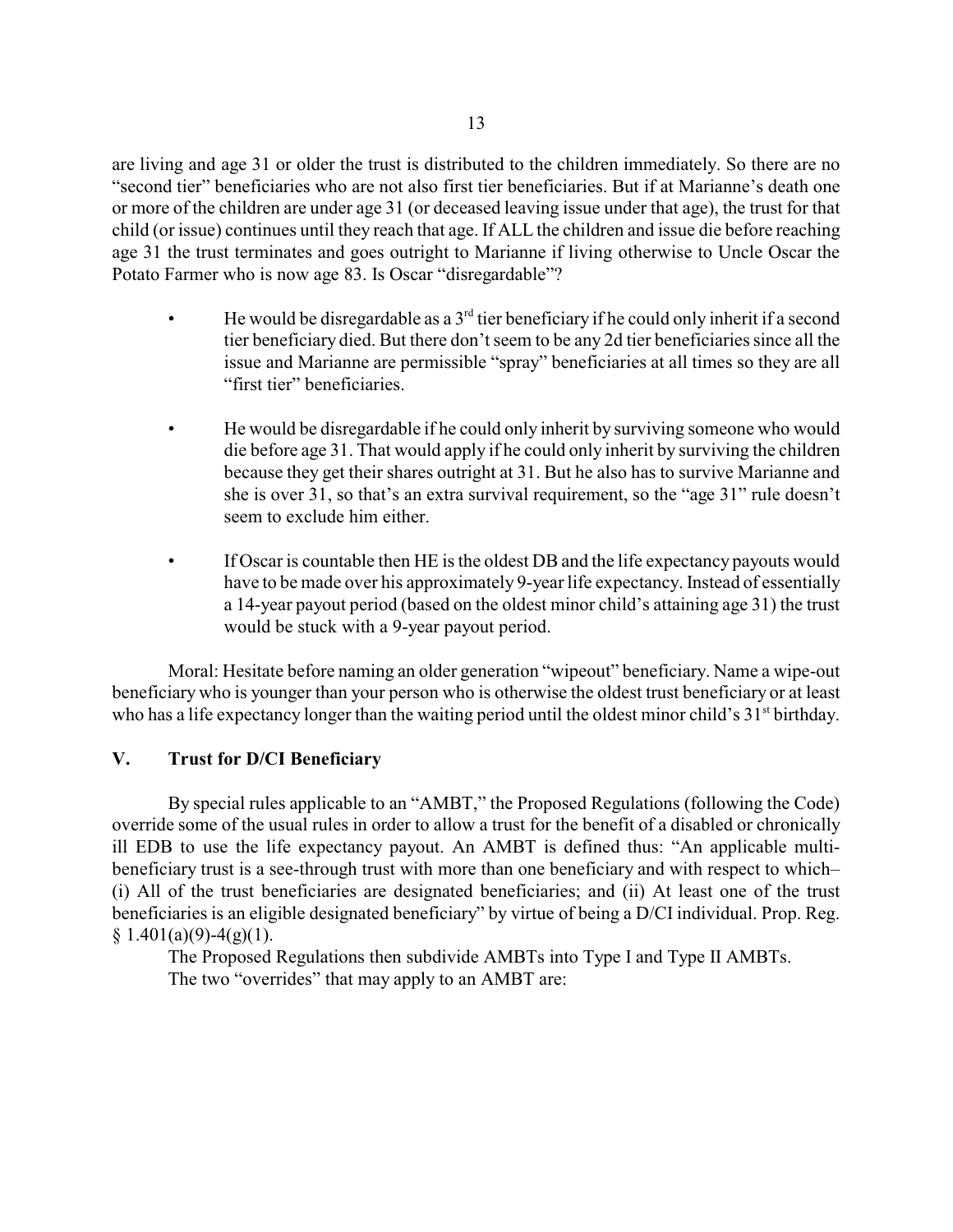are living and age 31 or older the trust is distributed to the children immediately. So there are no "second tier" beneficiaries who are not also first tier beneficiaries. But if at Marianne's death one or more of the children are under age 31 (or deceased leaving issue under that age), the trust for that child (or issue) continues until they reach that age. If ALL the children and issue die before reaching age 31 the trust terminates and goes outright to Marianne if living otherwise to Uncle Oscar the Potato Farmer who is now age 83. Is Oscar "disregardable"?

- $\bullet$  He would be disregardable as a 3<sup>rd</sup> tier beneficiary if he could only inherit if a second tier beneficiary died. But there don't seem to be any 2d tier beneficiaries since all the issue and Marianne are permissible "spray" beneficiaries at all times so they are all "first tier" beneficiaries.
- He would be disregardable if he could only inherit by surviving someone who would die before age 31. That would apply if he could only inherit by surviving the children because they get their shares outright at 31. But he also has to survive Marianne and she is over 31, so that's an extra survival requirement, so the "age 31" rule doesn't seem to exclude him either.
- If Oscar is countable then HE is the oldest DB and the life expectancy payouts would have to be made over his approximately 9-year life expectancy. Instead of essentially a 14-year payout period (based on the oldest minor child's attaining age 31) the trust would be stuck with a 9-year payout period.

Moral: Hesitate before naming an older generation "wipeout" beneficiary. Name a wipe-out beneficiary who is younger than your person who is otherwise the oldest trust beneficiary or at least who has a life expectancy longer than the waiting period until the oldest minor child's 31<sup>st</sup> birthday.

## **V. Trust for D/CI Beneficiary**

By special rules applicable to an "AMBT," the Proposed Regulations (following the Code) override some of the usual rules in order to allow a trust for the benefit of a disabled or chronically ill EDB to use the life expectancy payout. An AMBT is defined thus: "An applicable multibeneficiary trust is a see-through trust with more than one beneficiary and with respect to which– (i) All of the trust beneficiaries are designated beneficiaries; and (ii) At least one of the trust beneficiaries is an eligible designated beneficiary" by virtue of being a D/CI individual. Prop. Reg.  $§ 1.401(a)(9)-4(g)(1).$ 

The Proposed Regulations then subdivide AMBTs into Type I and Type II AMBTs. The two "overrides" that may apply to an AMBT are: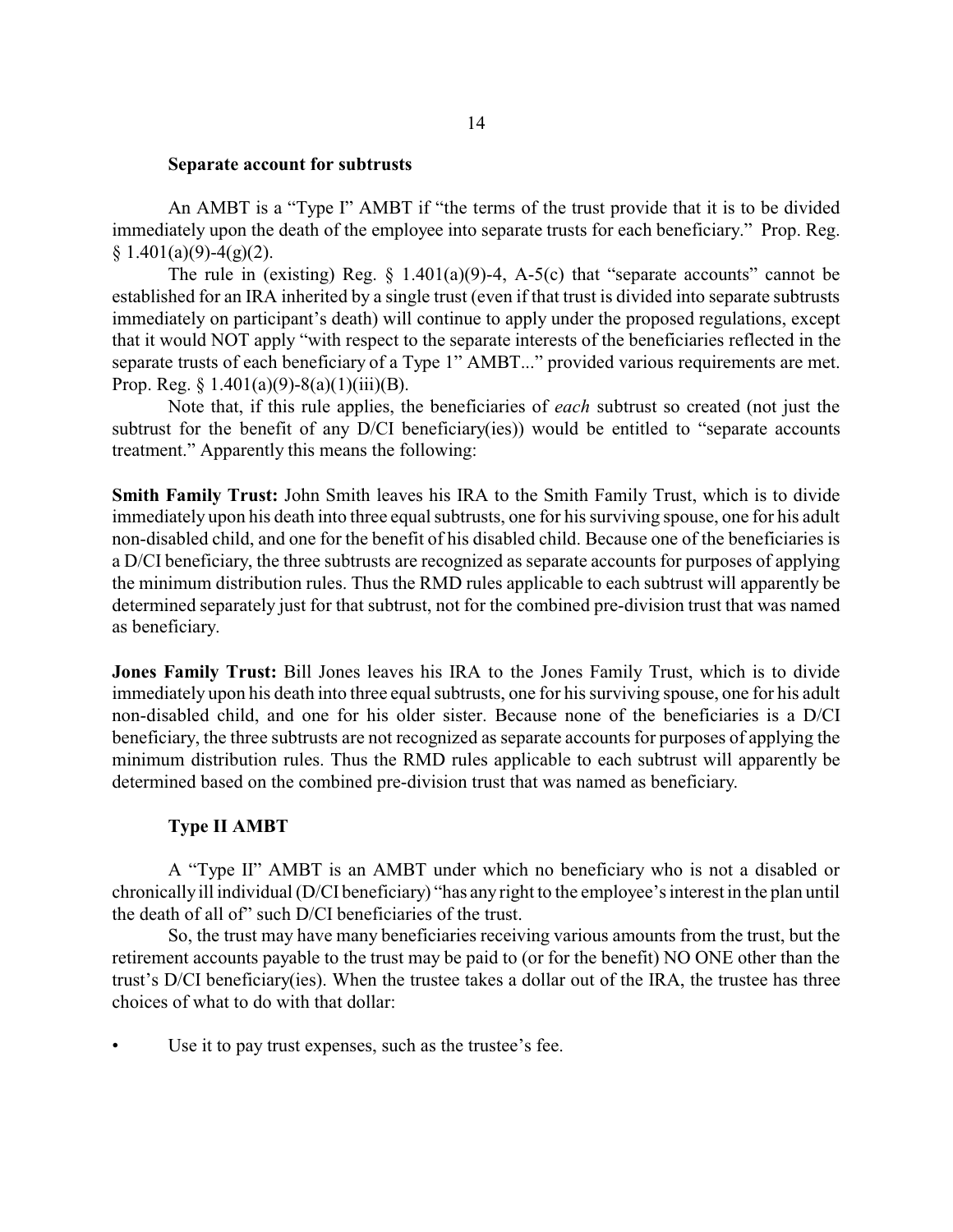#### **Separate account for subtrusts**

An AMBT is a "Type I" AMBT if "the terms of the trust provide that it is to be divided immediately upon the death of the employee into separate trusts for each beneficiary." Prop. Reg.  $§ 1.401(a)(9)-4(g)(2).$ 

The rule in (existing) Reg.  $\S$  1.401(a)(9)-4, A-5(c) that "separate accounts" cannot be established for an IRA inherited by a single trust (even if that trust is divided into separate subtrusts immediately on participant's death) will continue to apply under the proposed regulations, except that it would NOT apply "with respect to the separate interests of the beneficiaries reflected in the separate trusts of each beneficiary of a Type 1" AMBT..." provided various requirements are met. Prop. Reg.  $§ 1.401(a)(9)-8(a)(1)(iii)(B)$ .

Note that, if this rule applies, the beneficiaries of *each* subtrust so created (not just the subtrust for the benefit of any D/CI beneficiary(ies)) would be entitled to "separate accounts treatment." Apparently this means the following:

**Smith Family Trust:** John Smith leaves his IRA to the Smith Family Trust, which is to divide immediately upon his death into three equal subtrusts, one for his surviving spouse, one for his adult non-disabled child, and one for the benefit of his disabled child. Because one of the beneficiaries is a D/CI beneficiary, the three subtrusts are recognized as separate accounts for purposes of applying the minimum distribution rules. Thus the RMD rules applicable to each subtrust will apparently be determined separately just for that subtrust, not for the combined pre-division trust that was named as beneficiary.

**Jones Family Trust:** Bill Jones leaves his IRA to the Jones Family Trust, which is to divide immediately upon his death into three equal subtrusts, one for his surviving spouse, one for his adult non-disabled child, and one for his older sister. Because none of the beneficiaries is a D/CI beneficiary, the three subtrusts are not recognized as separate accounts for purposes of applying the minimum distribution rules. Thus the RMD rules applicable to each subtrust will apparently be determined based on the combined pre-division trust that was named as beneficiary.

### **Type II AMBT**

A "Type II" AMBT is an AMBT under which no beneficiary who is not a disabled or chronicallyill individual (D/CI beneficiary) "has any right to the employee's interest in the plan until the death of all of" such D/CI beneficiaries of the trust.

So, the trust may have many beneficiaries receiving various amounts from the trust, but the retirement accounts payable to the trust may be paid to (or for the benefit) NO ONE other than the trust's D/CI beneficiary(ies). When the trustee takes a dollar out of the IRA, the trustee has three choices of what to do with that dollar:

Use it to pay trust expenses, such as the trustee's fee.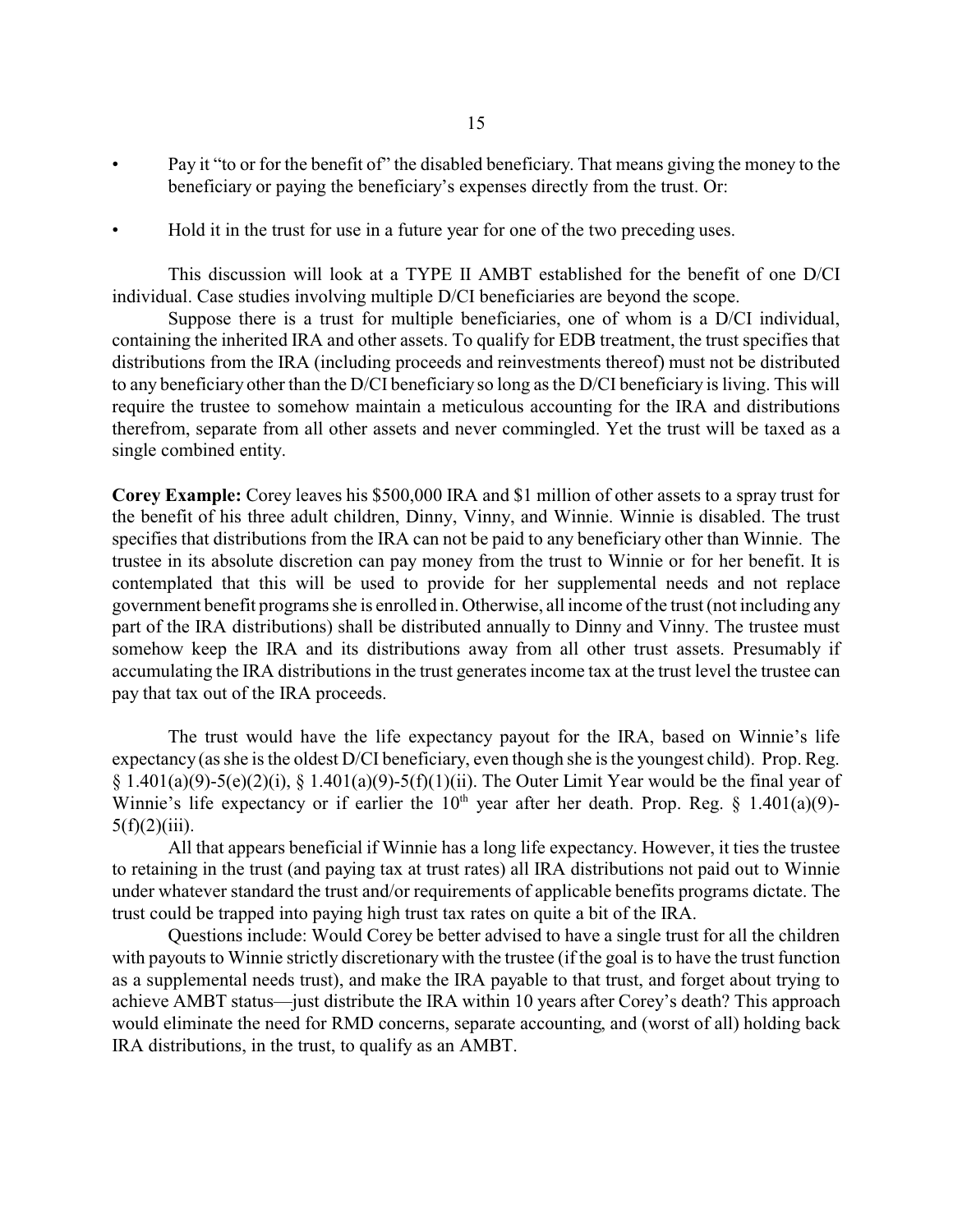- Pay it "to or for the benefit of" the disabled beneficiary. That means giving the money to the beneficiary or paying the beneficiary's expenses directly from the trust. Or:
- Hold it in the trust for use in a future year for one of the two preceding uses.

This discussion will look at a TYPE II AMBT established for the benefit of one D/CI individual. Case studies involving multiple D/CI beneficiaries are beyond the scope.

Suppose there is a trust for multiple beneficiaries, one of whom is a D/CI individual, containing the inherited IRA and other assets. To qualify for EDB treatment, the trust specifies that distributions from the IRA (including proceeds and reinvestments thereof) must not be distributed to any beneficiary other than the D/CI beneficiary so long as the D/CI beneficiary is living. This will require the trustee to somehow maintain a meticulous accounting for the IRA and distributions therefrom, separate from all other assets and never commingled. Yet the trust will be taxed as a single combined entity.

**Corey Example:** Corey leaves his \$500,000 IRA and \$1 million of other assets to a spray trust for the benefit of his three adult children, Dinny, Vinny, and Winnie. Winnie is disabled. The trust specifies that distributions from the IRA can not be paid to any beneficiary other than Winnie. The trustee in its absolute discretion can pay money from the trust to Winnie or for her benefit. It is contemplated that this will be used to provide for her supplemental needs and not replace government benefit programs she is enrolled in. Otherwise, all income of the trust (not including any part of the IRA distributions) shall be distributed annually to Dinny and Vinny. The trustee must somehow keep the IRA and its distributions away from all other trust assets. Presumably if accumulating the IRA distributions in the trust generates income tax at the trust level the trustee can pay that tax out of the IRA proceeds.

The trust would have the life expectancy payout for the IRA, based on Winnie's life expectancy (as she is the oldest D/CI beneficiary, even though she is the youngest child). Prop. Reg.  $§ 1.401(a)(9)-5(e)(2)(i), § 1.401(a)(9)-5(f)(1)(ii)$ . The Outer Limit Year would be the final year of Winnie's life expectancy or if earlier the  $10^{th}$  year after her death. Prop. Reg. § 1.401(a)(9)- $5(f)(2)(iii)$ .

All that appears beneficial if Winnie has a long life expectancy. However, it ties the trustee to retaining in the trust (and paying tax at trust rates) all IRA distributions not paid out to Winnie under whatever standard the trust and/or requirements of applicable benefits programs dictate. The trust could be trapped into paying high trust tax rates on quite a bit of the IRA.

Questions include: Would Corey be better advised to have a single trust for all the children with payouts to Winnie strictly discretionary with the trustee (if the goal is to have the trust function as a supplemental needs trust), and make the IRA payable to that trust, and forget about trying to achieve AMBT status—just distribute the IRA within 10 years after Corey's death? This approach would eliminate the need for RMD concerns, separate accounting, and (worst of all) holding back IRA distributions, in the trust, to qualify as an AMBT.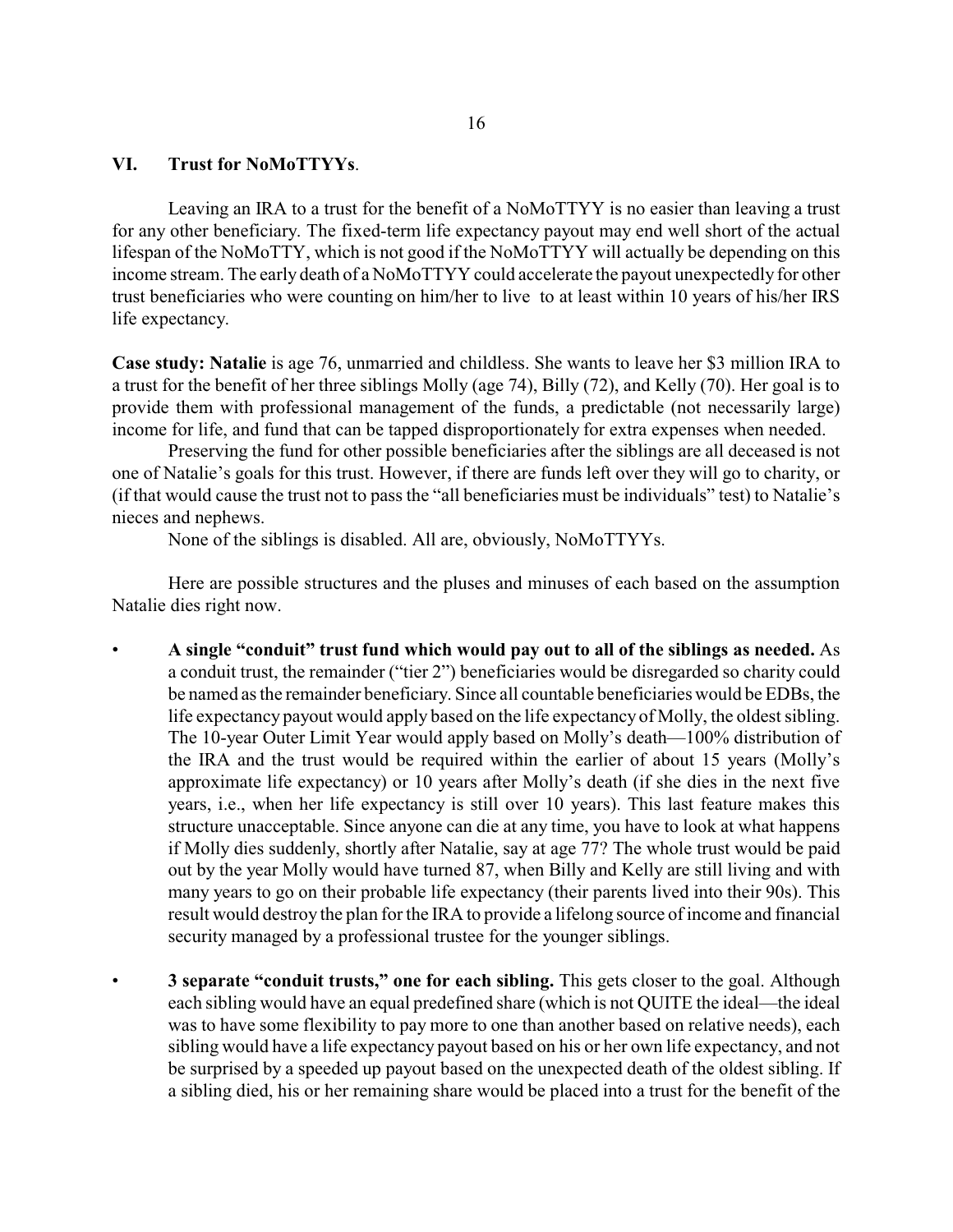### **VI. Trust for NoMoTTYYs**.

Leaving an IRA to a trust for the benefit of a NoMoTTYY is no easier than leaving a trust for any other beneficiary. The fixed-term life expectancy payout may end well short of the actual lifespan of the NoMoTTY, which is not good if the NoMoTTYY will actually be depending on this income stream. The early death of a NoMoTTYY could accelerate the payout unexpectedly for other trust beneficiaries who were counting on him/her to live to at least within 10 years of his/her IRS life expectancy.

**Case study: Natalie** is age 76, unmarried and childless. She wants to leave her \$3 million IRA to a trust for the benefit of her three siblings Molly (age 74), Billy (72), and Kelly (70). Her goal is to provide them with professional management of the funds, a predictable (not necessarily large) income for life, and fund that can be tapped disproportionately for extra expenses when needed.

Preserving the fund for other possible beneficiaries after the siblings are all deceased is not one of Natalie's goals for this trust. However, if there are funds left over they will go to charity, or (if that would cause the trust not to pass the "all beneficiaries must be individuals" test) to Natalie's nieces and nephews.

None of the siblings is disabled. All are, obviously, NoMoTTYYs.

Here are possible structures and the pluses and minuses of each based on the assumption Natalie dies right now.

- **A single "conduit" trust fund which would pay out to all of the siblings as needed.** As a conduit trust, the remainder ("tier 2") beneficiaries would be disregarded so charity could be named as the remainder beneficiary. Since all countable beneficiaries would be EDBs, the life expectancy payout would apply based on the life expectancy of Molly, the oldest sibling. The 10-year Outer Limit Year would apply based on Molly's death—100% distribution of the IRA and the trust would be required within the earlier of about 15 years (Molly's approximate life expectancy) or 10 years after Molly's death (if she dies in the next five years, i.e., when her life expectancy is still over 10 years). This last feature makes this structure unacceptable. Since anyone can die at any time, you have to look at what happens if Molly dies suddenly, shortly after Natalie, say at age 77? The whole trust would be paid out by the year Molly would have turned 87, when Billy and Kelly are still living and with many years to go on their probable life expectancy (their parents lived into their 90s). This result would destroy the plan for the IRA to provide a lifelong source of income and financial security managed by a professional trustee for the younger siblings.
- **3 separate "conduit trusts," one for each sibling.** This gets closer to the goal. Although each sibling would have an equal predefined share (which is not QUITE the ideal—the ideal was to have some flexibility to pay more to one than another based on relative needs), each sibling would have a life expectancy payout based on his or her own life expectancy, and not be surprised by a speeded up payout based on the unexpected death of the oldest sibling. If a sibling died, his or her remaining share would be placed into a trust for the benefit of the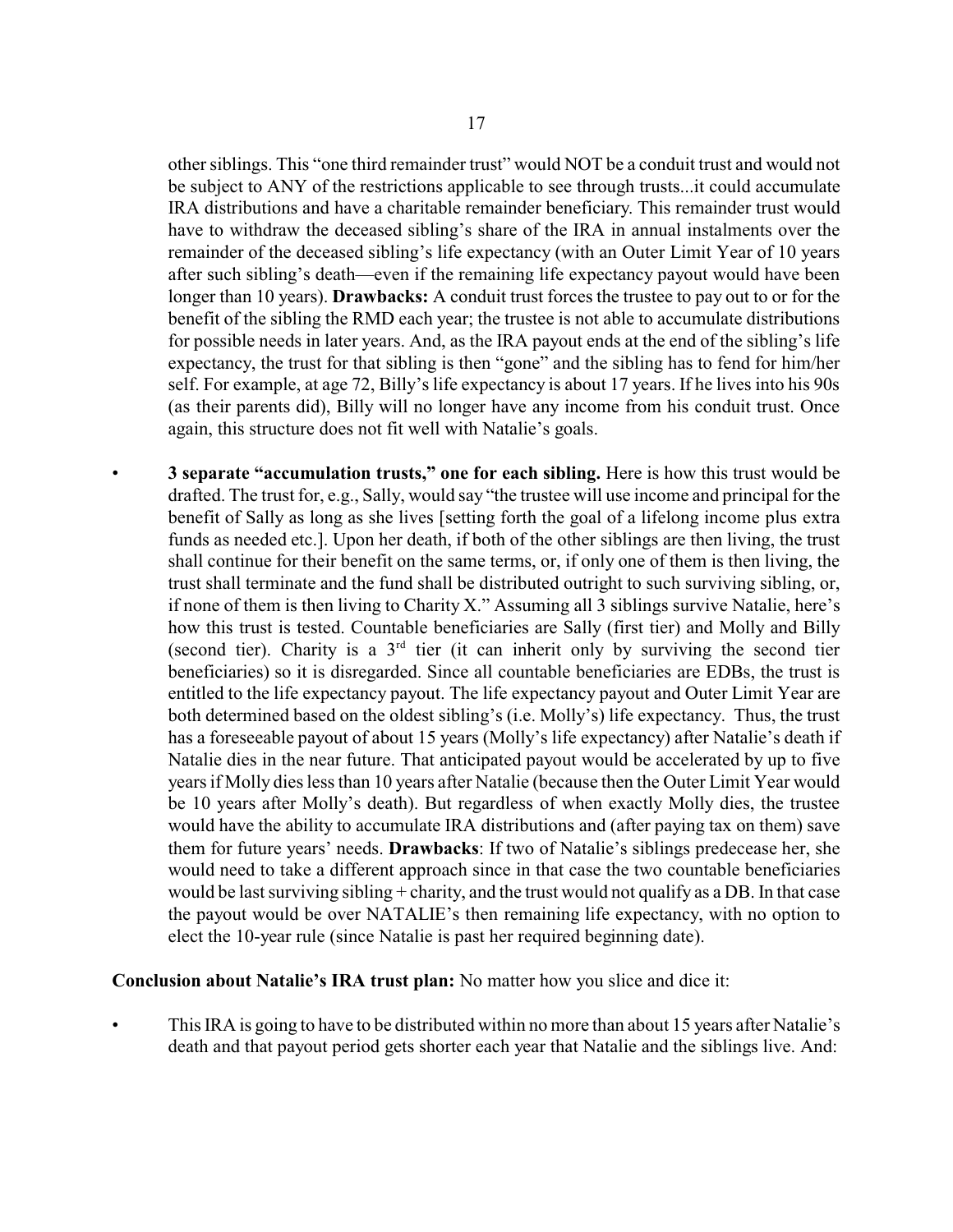other siblings. This "one third remainder trust" would NOT be a conduit trust and would not be subject to ANY of the restrictions applicable to see through trusts...it could accumulate IRA distributions and have a charitable remainder beneficiary. This remainder trust would have to withdraw the deceased sibling's share of the IRA in annual instalments over the remainder of the deceased sibling's life expectancy (with an Outer Limit Year of 10 years after such sibling's death—even if the remaining life expectancy payout would have been longer than 10 years). **Drawbacks:** A conduit trust forces the trustee to pay out to or for the benefit of the sibling the RMD each year; the trustee is not able to accumulate distributions for possible needs in later years. And, as the IRA payout ends at the end of the sibling's life expectancy, the trust for that sibling is then "gone" and the sibling has to fend for him/her self. For example, at age 72, Billy's life expectancy is about 17 years. If he lives into his 90s (as their parents did), Billy will no longer have any income from his conduit trust. Once again, this structure does not fit well with Natalie's goals.

• **3 separate "accumulation trusts," one for each sibling.** Here is how this trust would be drafted. The trust for, e.g., Sally, would say "the trustee will use income and principal for the benefit of Sally as long as she lives [setting forth the goal of a lifelong income plus extra funds as needed etc.]. Upon her death, if both of the other siblings are then living, the trust shall continue for their benefit on the same terms, or, if only one of them is then living, the trust shall terminate and the fund shall be distributed outright to such surviving sibling, or, if none of them is then living to Charity X." Assuming all 3 siblings survive Natalie, here's how this trust is tested. Countable beneficiaries are Sally (first tier) and Molly and Billy (second tier). Charity is a  $3<sup>rd</sup>$  tier (it can inherit only by surviving the second tier beneficiaries) so it is disregarded. Since all countable beneficiaries are EDBs, the trust is entitled to the life expectancy payout. The life expectancy payout and Outer Limit Year are both determined based on the oldest sibling's (i.e. Molly's) life expectancy. Thus, the trust has a foreseeable payout of about 15 years (Molly's life expectancy) after Natalie's death if Natalie dies in the near future. That anticipated payout would be accelerated by up to five years if Molly dies less than 10 years after Natalie (because then the Outer Limit Year would be 10 years after Molly's death). But regardless of when exactly Molly dies, the trustee would have the ability to accumulate IRA distributions and (after paying tax on them) save them for future years' needs. **Drawbacks**: If two of Natalie's siblings predecease her, she would need to take a different approach since in that case the two countable beneficiaries would be last surviving sibling + charity, and the trust would not qualify as a DB. In that case the payout would be over NATALIE's then remaining life expectancy, with no option to elect the 10-year rule (since Natalie is past her required beginning date).

## **Conclusion about Natalie's IRA trust plan:** No matter how you slice and dice it:

• This IRA is going to have to be distributed within no more than about 15 years after Natalie's death and that payout period gets shorter each year that Natalie and the siblings live. And: